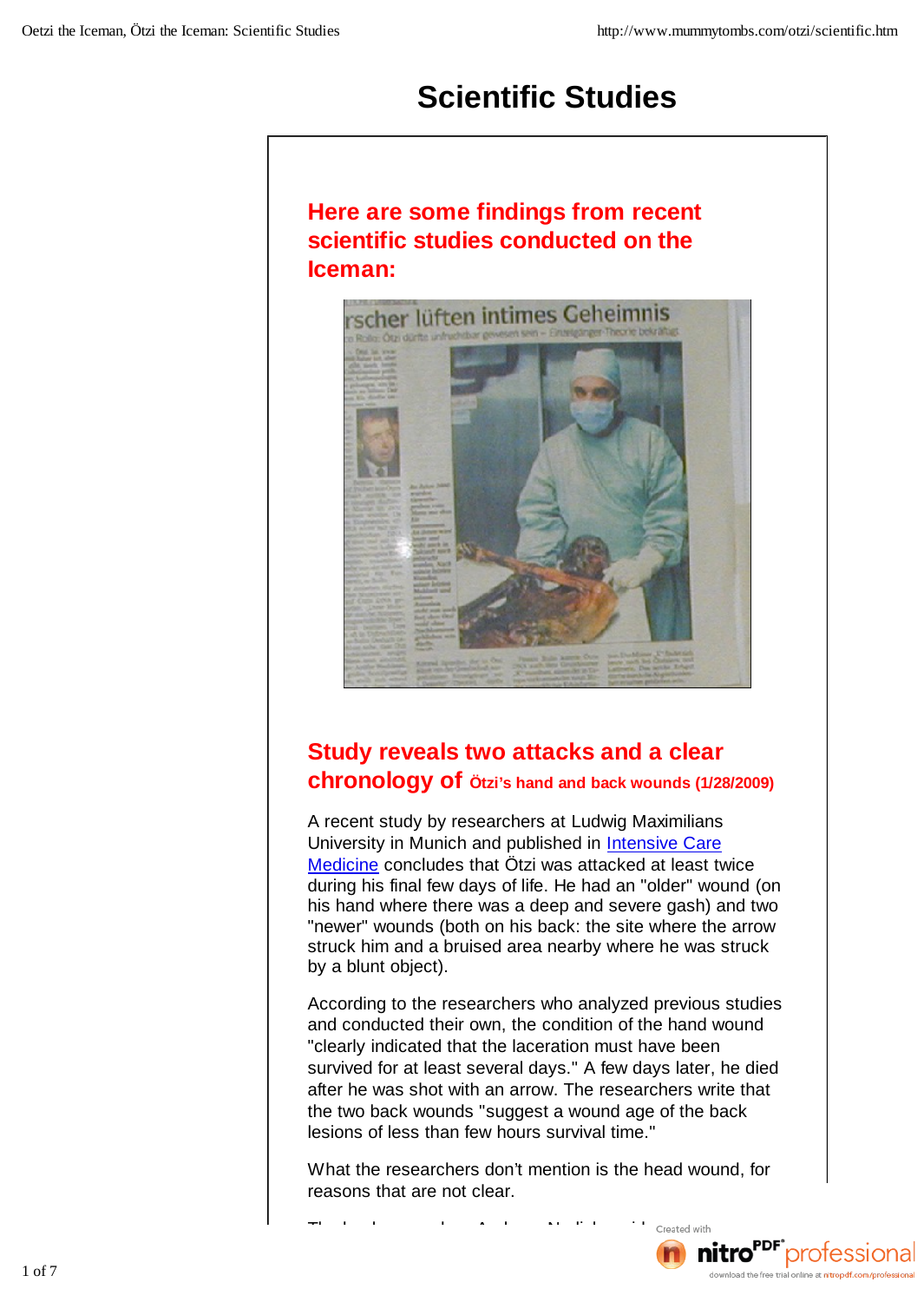# **Scientific Studies**

#### **Here are some findings from recent scientific studies conducted on the Iceman:**



# **Study reveals two attacks and a clear chronology of Ötzi's hand and back wounds (1/28/2009)**

A recent study by researchers at Ludwig Maximilians University in Munich and published in Intensive Care Medicine concludes that Ötzi was attacked at least twice during his final few days of life. He had an "older" wound (on his hand where there was a deep and severe gash) and two "newer" wounds (both on his back: the site where the arrow struck him and a bruised area nearby where he was struck by a blunt object).

According to the researchers who analyzed previous studies and conducted their own, the condition of the hand wound "clearly indicated that the laceration must have been survived for at least several days." A few days later, he died after he was shot with an arrow. The researchers write that the two back wounds "suggest a wound age of the back lesions of less than few hours survival time."

What the researchers don't mention is the head wound, for reasons that are not clear.

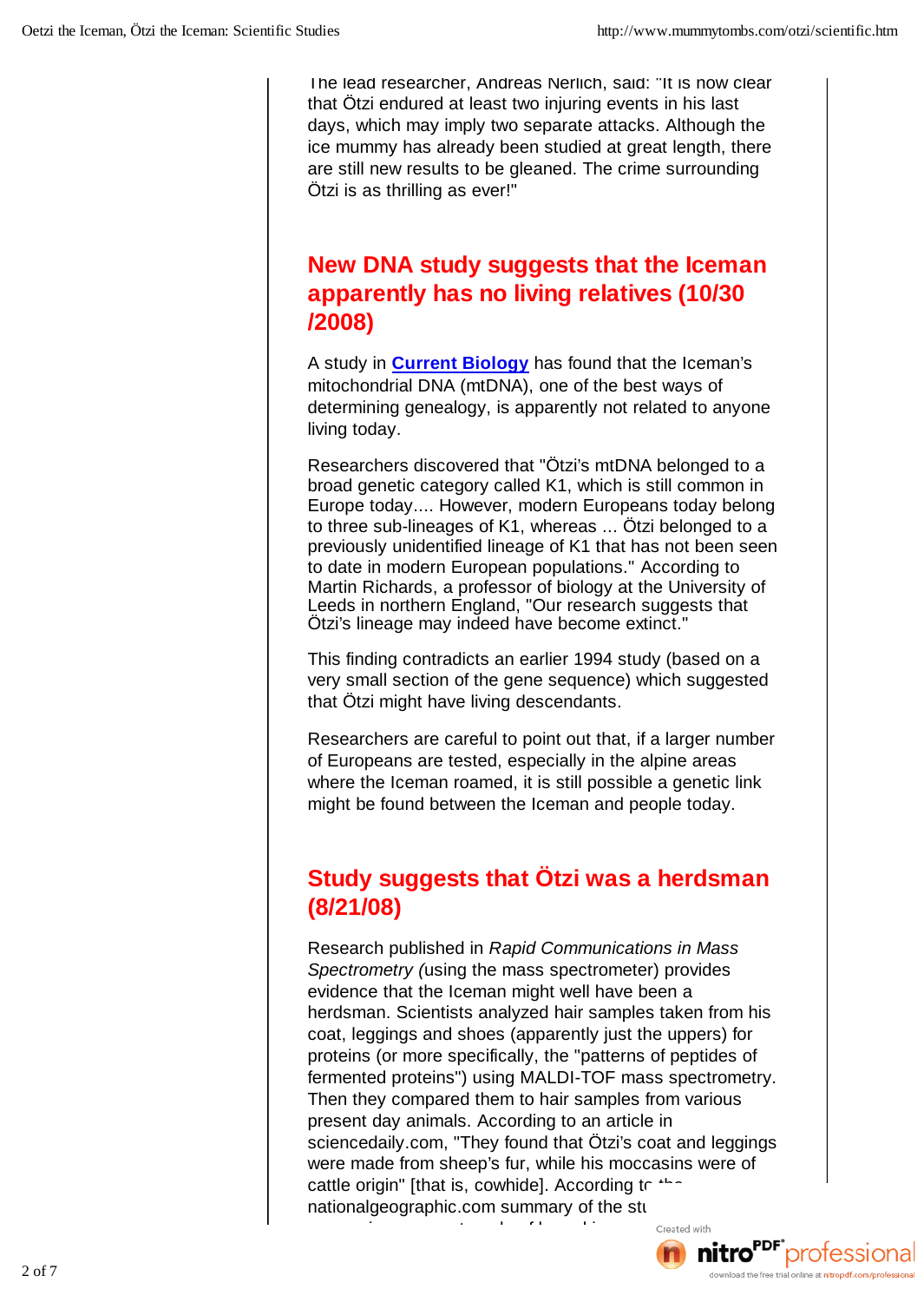The lead researcher, Andreas Nerlich, said: "It is now clear that Ötzi endured at least two injuring events in his last days, which may imply two separate attacks. Although the ice mummy has already been studied at great length, there are still new results to be gleaned. The crime surrounding Ötzi is as thrilling as ever!"

#### **New DNA study suggests that the Iceman apparently has no living relatives (10/30 /2008)**

A study in **Current Biology** has found that the Iceman's mitochondrial DNA (mtDNA), one of the best ways of determining genealogy, is apparently not related to anyone living today.

Researchers discovered that "Ötzi's mtDNA belonged to a broad genetic category called K1, which is still common in Europe today.... However, modern Europeans today belong to three sub-lineages of K1, whereas ... Ötzi belonged to a previously unidentified lineage of K1 that has not been seen to date in modern European populations." According to Martin Richards, a professor of biology at the University of Leeds in northern England, "Our research suggests that Ötzi's lineage may indeed have become extinct."

This finding contradicts an earlier 1994 study (based on a very small section of the gene sequence) which suggested that Ötzi might have living descendants.

Researchers are careful to point out that, if a larger number of Europeans are tested, especially in the alpine areas where the Iceman roamed, it is still possible a genetic link might be found between the Iceman and people today.

#### **Study suggests that Ötzi was a herdsman (8/21/08)**

Research published in *Rapid Communications in Mass Spectrometry (*using the mass spectrometer) provides evidence that the Iceman might well have been a herdsman. Scientists analyzed hair samples taken from his coat, leggings and shoes (apparently just the uppers) for proteins (or more specifically, the "patterns of peptides of fermented proteins") using MALDI-TOF mass spectrometry. Then they compared them to hair samples from various present day animals. According to an article in sciencedaily.com, "They found that Ötzi's coat and leggings were made from sheep's fur, while his moccasins were of cattle origin" [that is, cowhide]. According  $t \in \mathbb{R}^n$ nationalgeographic.com summary of the study mock mock were not made of bearskin, as previously contained with  $\sim$ 

believed. Instead they were ancient cattle skin from the skin from the skin from the skin from the skin from t download the free tri

 $2$  of 7  $2$  of 7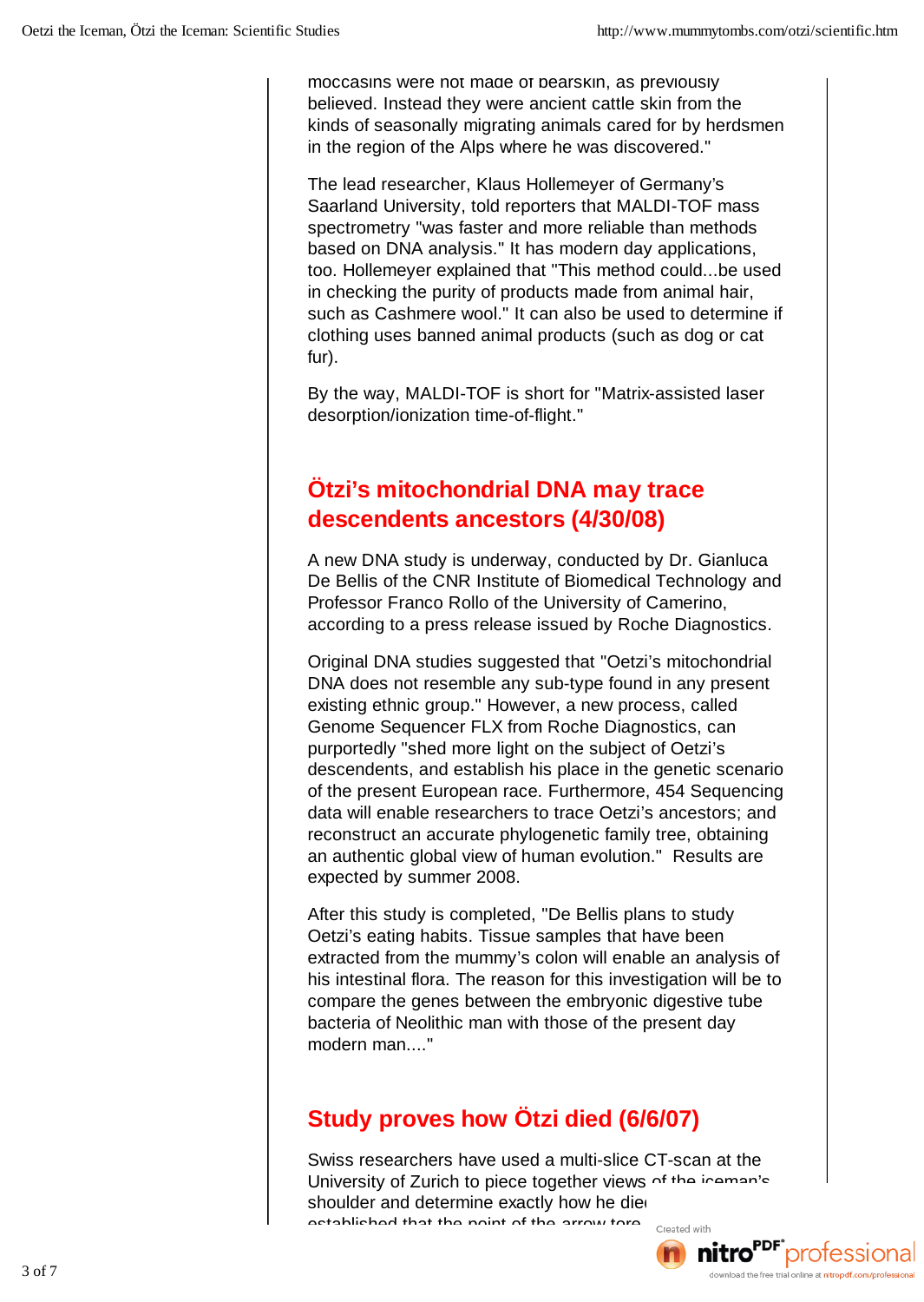moccasins were not made of bearskin, as previously believed. Instead they were ancient cattle skin from the kinds of seasonally migrating animals cared for by herdsmen in the region of the Alps where he was discovered."

The lead researcher, Klaus Hollemeyer of Germany's Saarland University, told reporters that MALDI-TOF mass spectrometry "was faster and more reliable than methods based on DNA analysis." It has modern day applications, too. Hollemeyer explained that "This method could...be used in checking the purity of products made from animal hair, such as Cashmere wool." It can also be used to determine if clothing uses banned animal products (such as dog or cat fur).

By the way, MALDI-TOF is short for "Matrix-assisted laser desorption/ionization time-of-flight."

#### **Ötzi's mitochondrial DNA may trace descendents ancestors (4/30/08)**

A new DNA study is underway, conducted by Dr. Gianluca De Bellis of the CNR Institute of Biomedical Technology and Professor Franco Rollo of the University of Camerino, according to a press release issued by Roche Diagnostics.

Original DNA studies suggested that "Oetzi's mitochondrial DNA does not resemble any sub-type found in any present existing ethnic group." However, a new process, called Genome Sequencer FLX from Roche Diagnostics, can purportedly "shed more light on the subject of Oetzi's descendents, and establish his place in the genetic scenario of the present European race. Furthermore, 454 Sequencing data will enable researchers to trace Oetzi's ancestors; and reconstruct an accurate phylogenetic family tree, obtaining an authentic global view of human evolution." Results are expected by summer 2008.

After this study is completed, "De Bellis plans to study Oetzi's eating habits. Tissue samples that have been extracted from the mummy's colon will enable an analysis of his intestinal flora. The reason for this investigation will be to compare the genes between the embryonic digestive tube bacteria of Neolithic man with those of the present day modern man...."

## **Study proves how Ötzi died (6/6/07)**

Swiss researchers have used a multi-slice CT-scan at the University of Zurich to piece together views of the iceman's shoulder and determine exactly how he die

established that the point of the arrow tore "created with" **nitro<sup>PDF</sup>** professional artery beneath his left collarbone, left collarbone, left collarbone, left collarbone, leading to a massive loss of blood. The blood of blood. The shock and the shock and shock and shock and shock and shock and shock and shock and shock and shock and shock and shock and shock and shock and shock and shock and shock and shock and shoc  $3\,\mathrm{of}\,7$  download the free trial online at nitropoli.com/profession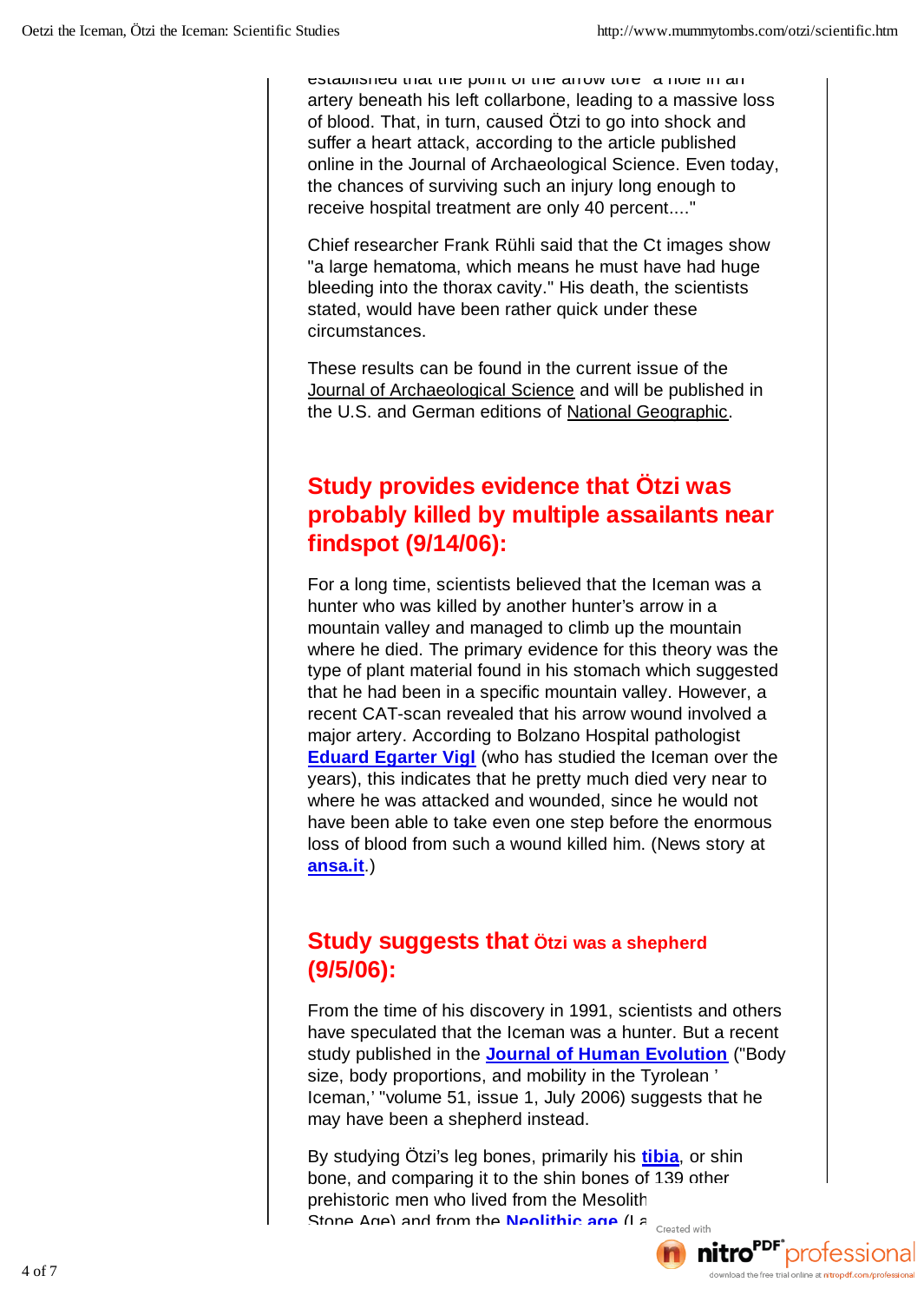established that the point of the arrow tore "a hole in an artery beneath his left collarbone, leading to a massive loss of blood. That, in turn, caused Ötzi to go into shock and suffer a heart attack, according to the article published online in the Journal of Archaeological Science. Even today, the chances of surviving such an injury long enough to receive hospital treatment are only 40 percent...."

Chief researcher Frank Rühli said that the Ct images show "a large hematoma, which means he must have had huge bleeding into the thorax cavity." His death, the scientists stated, would have been rather quick under these circumstances.

These results can be found in the current issue of the Journal of Archaeological Science and will be published in the U.S. and German editions of National Geographic.

#### **Study provides evidence that Ötzi was probably killed by multiple assailants near findspot (9/14/06):**

For a long time, scientists believed that the Iceman was a hunter who was killed by another hunter's arrow in a mountain valley and managed to climb up the mountain where he died. The primary evidence for this theory was the type of plant material found in his stomach which suggested that he had been in a specific mountain valley. However, a recent CAT-scan revealed that his arrow wound involved a major artery. According to Bolzano Hospital pathologist **Eduard Egarter Vigl** (who has studied the Iceman over the years), this indicates that he pretty much died very near to where he was attacked and wounded, since he would not have been able to take even one step before the enormous loss of blood from such a wound killed him. (News story at **ansa.it**.)

#### **Study suggests that Ötzi was a shepherd (9/5/06):**

From the time of his discovery in 1991, scientists and others have speculated that the Iceman was a hunter. But a recent study published in the **Journal of Human Evolution** ("Body size, body proportions, and mobility in the Tyrolean ' Iceman,' "volume 51, issue 1, July 2006) suggests that he may have been a shepherd instead.

By studying Ötzi's leg bones, primarily his **tibia**, or shin bone, and comparing it to the shin bones of 139 other prehistoric men who lived from the Mesolith Stone Age) and from the **Neolithic age** (Later Stone Age)

scientists led by **Christopher Ruff** from John Hopkins  $\frac{1}{\text{d}}$ 

4 of 7 **nitro**<sup>rur</sup> protessional download the free trial online at nitropdf.com/professional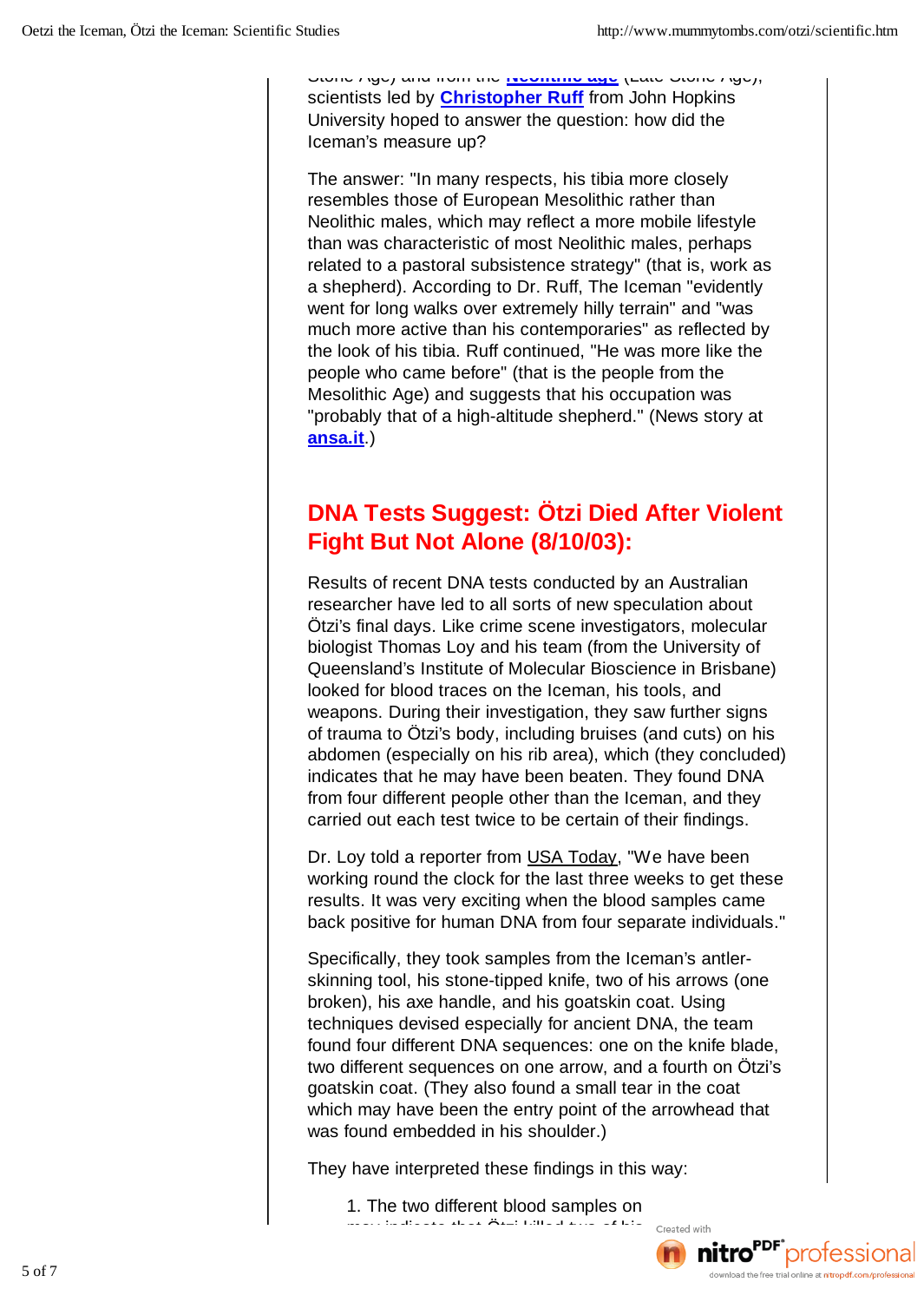Stone Age) and from the **Neolithic age** (Late Stone Age), scientists led by **Christopher Ruff** from John Hopkins University hoped to answer the question: how did the Iceman's measure up?

The answer: "In many respects, his tibia more closely resembles those of European Mesolithic rather than Neolithic males, which may reflect a more mobile lifestyle than was characteristic of most Neolithic males, perhaps related to a pastoral subsistence strategy" (that is, work as a shepherd). According to Dr. Ruff, The Iceman "evidently went for long walks over extremely hilly terrain" and "was much more active than his contemporaries" as reflected by the look of his tibia. Ruff continued, "He was more like the people who came before" (that is the people from the Mesolithic Age) and suggests that his occupation was "probably that of a high-altitude shepherd." (News story at **ansa.it**.)

#### **DNA Tests Suggest: Ötzi Died After Violent Fight But Not Alone (8/10/03):**

Results of recent DNA tests conducted by an Australian researcher have led to all sorts of new speculation about Ötzi's final days. Like crime scene investigators, molecular biologist Thomas Loy and his team (from the University of Queensland's Institute of Molecular Bioscience in Brisbane) looked for blood traces on the Iceman, his tools, and weapons. During their investigation, they saw further signs of trauma to Ötzi's body, including bruises (and cuts) on his abdomen (especially on his rib area), which (they concluded) indicates that he may have been beaten. They found DNA from four different people other than the Iceman, and they carried out each test twice to be certain of their findings.

Dr. Loy told a reporter from USA Today, "We have been working round the clock for the last three weeks to get these results. It was very exciting when the blood samples came back positive for human DNA from four separate individuals."

Specifically, they took samples from the Iceman's antlerskinning tool, his stone-tipped knife, two of his arrows (one broken), his axe handle, and his goatskin coat. Using techniques devised especially for ancient DNA, the team found four different DNA sequences: one on the knife blade, two different sequences on one arrow, and a fourth on Ötzi's goatskin coat. (They also found a small tear in the coat which may have been the entry point of the arrowhead that was found embedded in his shoulder.)

They have interpreted these findings in this way:

1. The two different blood samples on mattro<sup>por</sup> professional matter of the created with

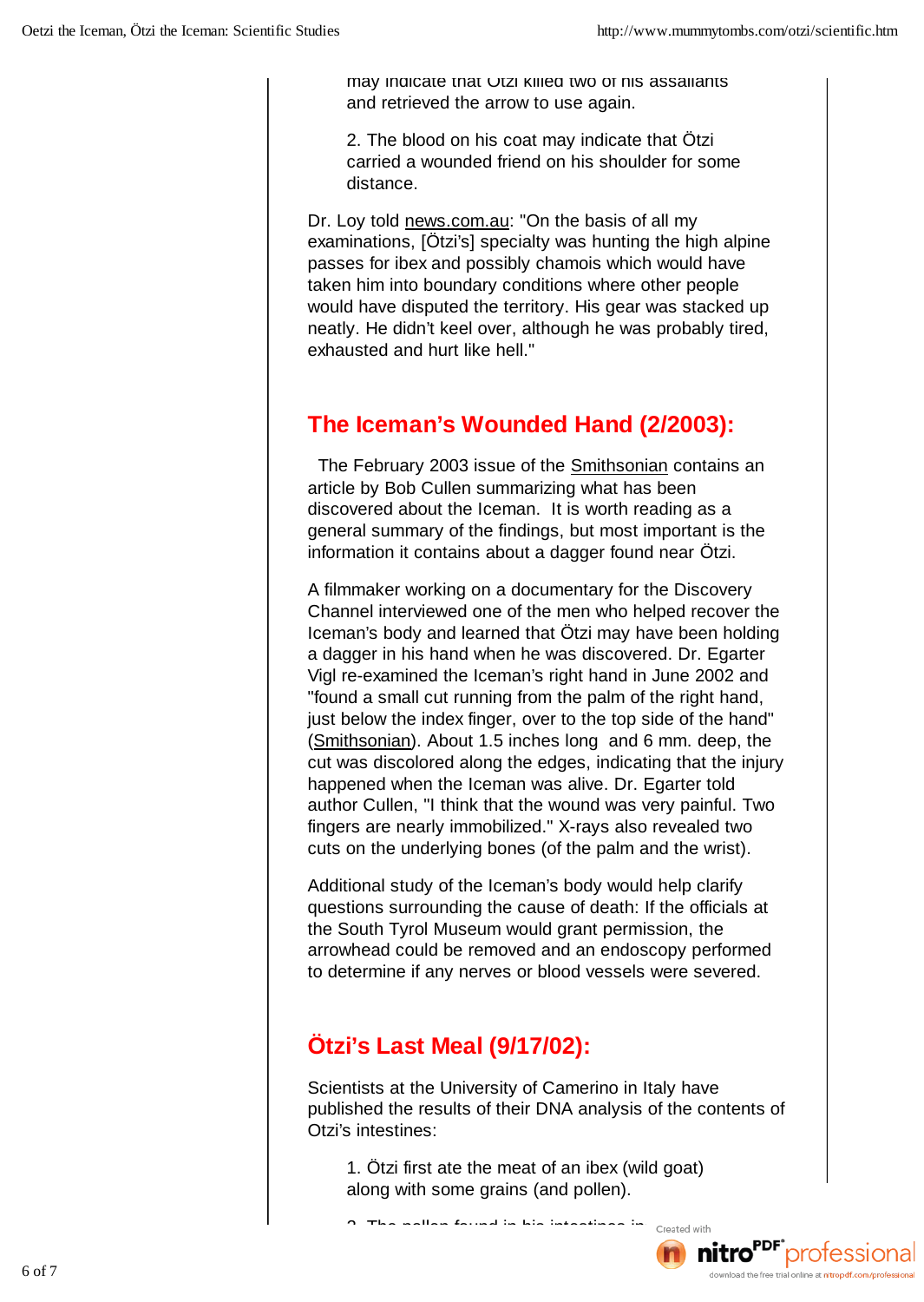may indicate that Otzi killed two of his assailants and retrieved the arrow to use again.

2. The blood on his coat may indicate that Ötzi carried a wounded friend on his shoulder for some distance.

Dr. Loy told news.com.au: "On the basis of all my examinations, [Ötzi's] specialty was hunting the high alpine passes for ibex and possibly chamois which would have taken him into boundary conditions where other people would have disputed the territory. His gear was stacked up neatly. He didn't keel over, although he was probably tired, exhausted and hurt like hell."

#### **The Iceman's Wounded Hand (2/2003):**

The February 2003 issue of the Smithsonian contains an article by Bob Cullen summarizing what has been discovered about the Iceman. It is worth reading as a general summary of the findings, but most important is the information it contains about a dagger found near Ötzi.

A filmmaker working on a documentary for the Discovery Channel interviewed one of the men who helped recover the Iceman's body and learned that Ötzi may have been holding a dagger in his hand when he was discovered. Dr. Egarter Vigl re-examined the Iceman's right hand in June 2002 and "found a small cut running from the palm of the right hand, just below the index finger, over to the top side of the hand" (Smithsonian). About 1.5 inches long and 6 mm. deep, the cut was discolored along the edges, indicating that the injury happened when the Iceman was alive. Dr. Egarter told author Cullen, "I think that the wound was very painful. Two fingers are nearly immobilized." X-rays also revealed two cuts on the underlying bones (of the palm and the wrist).

Additional study of the Iceman's body would help clarify questions surrounding the cause of death: If the officials at the South Tyrol Museum would grant permission, the arrowhead could be removed and an endoscopy performed to determine if any nerves or blood vessels were severed.

## **Ötzi's Last Meal (9/17/02):**

Scientists at the University of Camerino in Italy have published the results of their DNA analysis of the contents of Otzi's intestines:

1. Ötzi first ate the meat of an ibex (wild goat) along with some grains (and pollen).